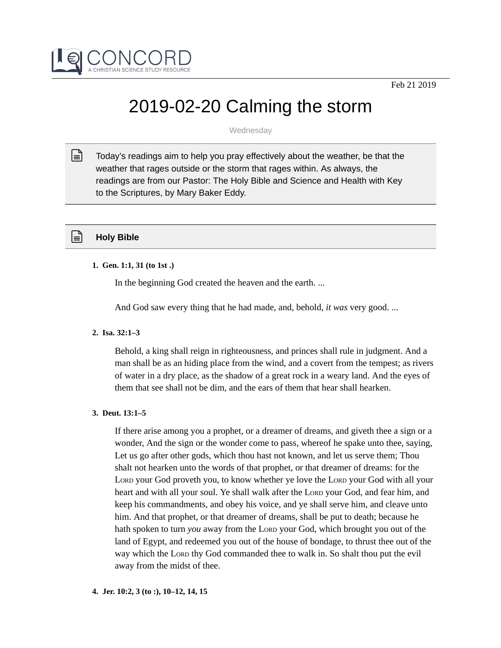

# 2019-02-20 Calming the storm

Wednesday

Today's readings aim to help you pray effectively about the weather, be that the weather that rages outside or the storm that rages within. As always, the readings are from our Pastor: The Holy Bible and Science and Health with Key to the Scriptures, by Mary Baker Eddy.  $\mathbb{R}$ 

# **Holy Bible**

# **1. Gen. 1:1, 31 (to 1st .)**

In the beginning God created the heaven and the earth. ...

And God saw every thing that he had made, and, behold, *it was* very good. ...

# **2. Isa. 32:1–3**

Behold, a king shall reign in righteousness, and princes shall rule in judgment. And a man shall be as an hiding place from the wind, and a covert from the tempest; as rivers of water in a dry place, as the shadow of a great rock in a weary land. And the eyes of them that see shall not be dim, and the ears of them that hear shall hearken.

# **3. Deut. 13:1–5**

If there arise among you a prophet, or a dreamer of dreams, and giveth thee a sign or a wonder, And the sign or the wonder come to pass, whereof he spake unto thee, saying, Let us go after other gods, which thou hast not known, and let us serve them; Thou shalt not hearken unto the words of that prophet, or that dreamer of dreams: for the LORD your God proveth you, to know whether ye love the LORD your God with all your heart and with all your soul. Ye shall walk after the LORD your God, and fear him, and keep his commandments, and obey his voice, and ye shall serve him, and cleave unto him. And that prophet, or that dreamer of dreams, shall be put to death; because he hath spoken to turn *you* away from the LORD your God, which brought you out of the land of Egypt, and redeemed you out of the house of bondage, to thrust thee out of the way which the LORD thy God commanded thee to walk in. So shalt thou put the evil away from the midst of thee.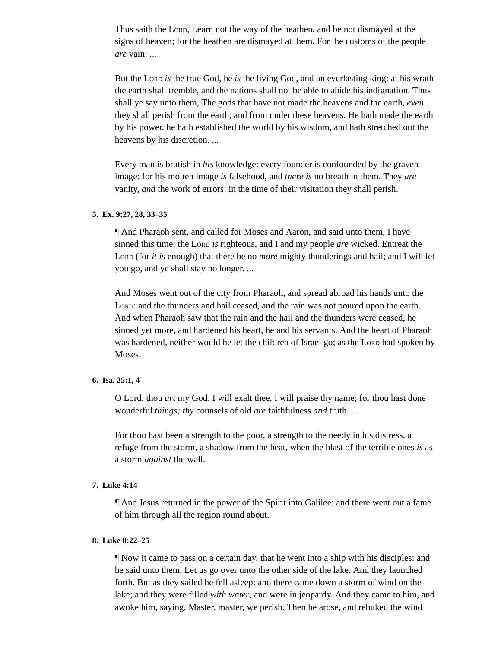Thus saith the LORD, Learn not the way of the heathen, and be not dismayed at the signs of heaven; for the heathen are dismayed at them. For the customs of the people *are* vain: ...

But the LORD *is* the true God, he *is* the living God, and an everlasting king: at his wrath the earth shall tremble, and the nations shall not be able to abide his indignation. Thus shall ye say unto them, The gods that have not made the heavens and the earth, *even* they shall perish from the earth, and from under these heavens. He hath made the earth by his power, he hath established the world by his wisdom, and hath stretched out the heavens by his discretion. ...

Every man is brutish in *his* knowledge: every founder is confounded by the graven image: for his molten image *is* falsehood, and *there is* no breath in them. They *are* vanity, *and* the work of errors: in the time of their visitation they shall perish.

## **5. Ex. 9:27, 28, 33–35**

¶ And Pharaoh sent, and called for Moses and Aaron, and said unto them, I have sinned this time: the LORD *is* righteous, and I and my people *are* wicked. Entreat the LORD (for *it is* enough) that there be no *more* mighty thunderings and hail; and I will let you go, and ye shall stay no longer. ...

And Moses went out of the city from Pharaoh, and spread abroad his hands unto the LORD: and the thunders and hail ceased, and the rain was not poured upon the earth. And when Pharaoh saw that the rain and the hail and the thunders were ceased, he sinned yet more, and hardened his heart, he and his servants. And the heart of Pharaoh was hardened, neither would he let the children of Israel go; as the LORD had spoken by Moses.

#### **6. Isa. 25:1, 4**

O Lord, thou *art* my God; I will exalt thee, I will praise thy name; for thou hast done wonderful *things; thy* counsels of old *are* faithfulness *and* truth. ...

For thou hast been a strength to the poor, a strength to the needy in his distress, a refuge from the storm, a shadow from the heat, when the blast of the terrible ones *is* as a storm *against* the wall.

## **7. Luke 4:14**

¶ And Jesus returned in the power of the Spirit into Galilee: and there went out a fame of him through all the region round about.

## **8. Luke 8:22–25**

¶ Now it came to pass on a certain day, that he went into a ship with his disciples: and he said unto them, Let us go over unto the other side of the lake. And they launched forth. But as they sailed he fell asleep: and there came down a storm of wind on the lake; and they were filled *with water,* and were in jeopardy. And they came to him, and awoke him, saying, Master, master, we perish. Then he arose, and rebuked the wind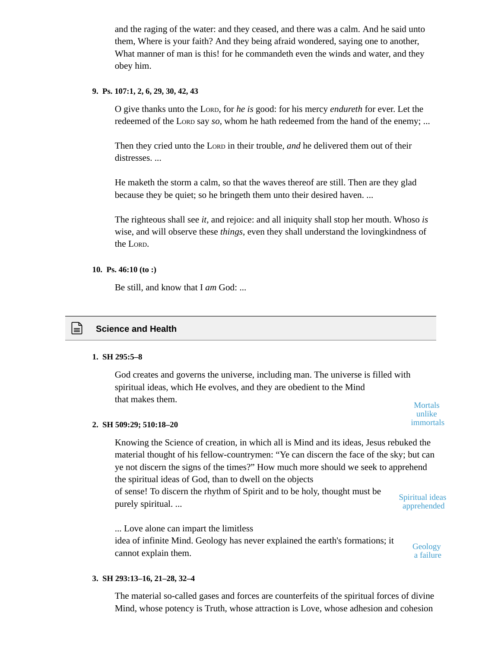and the raging of the water: and they ceased, and there was a calm. And he said unto them, Where is your faith? And they being afraid wondered, saying one to another, What manner of man is this! for he commandeth even the winds and water, and they obey him.

## **9. Ps. 107:1, 2, 6, 29, 30, 42, 43**

O give thanks unto the LORD, for *he is* good: for his mercy *endureth* for ever. Let the redeemed of the LORD say *so,* whom he hath redeemed from the hand of the enemy; ...

Then they cried unto the LORD in their trouble, *and* he delivered them out of their distresses. ...

He maketh the storm a calm, so that the waves thereof are still. Then are they glad because they be quiet; so he bringeth them unto their desired haven. ...

The righteous shall see *it,* and rejoice: and all iniquity shall stop her mouth. Whoso *is* wise, and will observe these *things,* even they shall understand the lovingkindness of the LORD.

#### **10. Ps. 46:10 (to :)**

Be still, and know that I *am* God: ...

# **Science and Health**

#### **1. SH 295:5–8**

God creates and governs the universe, including man. The universe is filled with spiritual ideas, which He evolves, and they are obedient to the Mind that makes them. Mortals and the matrix of the matrix of the matrix of the matrix of the matrix of the matrix of the matrix of the matrix of the matrix of the matrix of the matrix of the matrix of the matrix of the matrix

#### **2. SH 509:29; 510:18–20**

Knowing the Science of creation, in which all is Mind and its ideas, Jesus rebuked the material thought of his fellow-countrymen: "Ye can discern the face of the sky; but can ye not discern the signs of the times?" How much more should we seek to apprehend the spiritual ideas of God, than to dwell on the objects of sense! To discern the rhythm of Spirit and to be holy, thought must be purely spiritual. ...

Spiritual ideas apprehended

unlike immortals

... Love alone can impart the limitless idea of infinite Mind. Geology has never explained the earth's formations; it cannot explain them.

#### **Geology** a failure

## **3. SH 293:13–16, 21–28, 32–4**

The material so-called gases and forces are counterfeits of the spiritual forces of divine Mind, whose potency is Truth, whose attraction is Love, whose adhesion and cohesion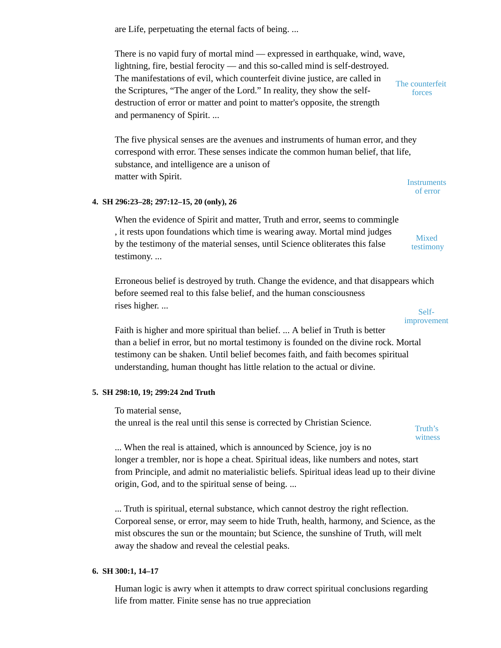are Life, perpetuating the eternal facts of being. ...

There is no vapid fury of mortal mind — expressed in earthquake, wind, wave, lightning, fire, bestial ferocity — and this so-called mind is self-destroyed. The manifestations of evil, which counterfeit divine justice, are called in the Scriptures, "The anger of the Lord." In reality, they show the selfdestruction of error or matter and point to matter's opposite, the strength and permanency of Spirit. ... The counterfeit forces

The five physical senses are the avenues and instruments of human error, and they correspond with error. These senses indicate the common human belief, that life, substance, and intelligence are a unison of matter with Spirit.

**4. SH 296:23–28; 297:12–15, 20 (only), 26**

When the evidence of Spirit and matter, Truth and error, seems to commingle , it rests upon foundations which time is wearing away. Mortal mind judges by the testimony of the material senses, until Science obliterates this false testimony. ...

Erroneous belief is destroyed by truth. Change the evidence, and that disappears which before seemed real to this false belief, and the human consciousness rises higher. ...

Faith is higher and more spiritual than belief. ... A belief in Truth is better than a belief in error, but no mortal testimony is founded on the divine rock. Mortal testimony can be shaken. Until belief becomes faith, and faith becomes spiritual understanding, human thought has little relation to the actual or divine.

## **5. SH 298:10, 19; 299:24 2nd Truth**

To material sense,

the unreal is the real until this sense is corrected by Christian Science.

... When the real is attained, which is announced by Science, joy is no longer a trembler, nor is hope a cheat. Spiritual ideas, like numbers and notes, start from Principle, and admit no materialistic beliefs. Spiritual ideas lead up to their divine origin, God, and to the spiritual sense of being. ...

... Truth is spiritual, eternal substance, which cannot destroy the right reflection. Corporeal sense, or error, may seem to hide Truth, health, harmony, and Science, as the mist obscures the sun or the mountain; but Science, the sunshine of Truth, will melt away the shadow and reveal the celestial peaks.

## **6. SH 300:1, 14–17**

Human logic is awry when it attempts to draw correct spiritual conclusions regarding life from matter. Finite sense has no true appreciation

**Instruments** of error

> Mixed testimony



Self-

Truth's witness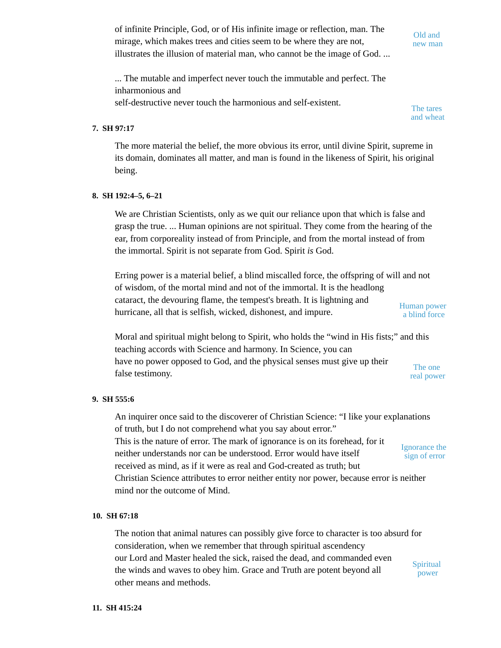of infinite Principle, God, or of His infinite image or reflection, man. The mirage, which makes trees and cities seem to be where they are not, illustrates the illusion of material man, who cannot be the image of God. ...

Old and new man

... The mutable and imperfect never touch the immutable and perfect. The inharmonious and self-destructive never touch the harmonious and self-existent.

The tares and wheat

# **7. SH 97:17**

The more material the belief, the more obvious its error, until divine Spirit, supreme in its domain, dominates all matter, and man is found in the likeness of Spirit, his original being.

## **8. SH 192:4–5, 6–21**

We are Christian Scientists, only as we quit our reliance upon that which is false and grasp the true. ... Human opinions are not spiritual. They come from the hearing of the ear, from corporeality instead of from Principle, and from the mortal instead of from the immortal. Spirit is not separate from God. Spirit *is* God.

Erring power is a material belief, a blind miscalled force, the offspring of will and not of wisdom, of the mortal mind and not of the immortal. It is the headlong cataract, the devouring flame, the tempest's breath. It is lightning and hurricane, all that is selfish, wicked, dishonest, and impure. Human power a blind force

Moral and spiritual might belong to Spirit, who holds the "wind in His fists;" and this teaching accords with Science and harmony. In Science, you can have no power opposed to God, and the physical senses must give up their false testimony. The one real power

## **9. SH 555:6**

An inquirer once said to the discoverer of Christian Science: "I like your explanations of truth, but I do not comprehend what you say about error." This is the nature of error. The mark of ignorance is on its forehead, for it neither understands nor can be understood. Error would have itself received as mind, as if it were as real and God-created as truth; but Christian Science attributes to error neither entity nor power, because error is neither mind nor the outcome of Mind. Ignorance the sign of error

## **10. SH 67:18**

The notion that animal natures can possibly give force to character is too absurd for consideration, when we remember that through spiritual ascendency our Lord and Master healed the sick, raised the dead, and commanded even the winds and waves to obey him. Grace and Truth are potent beyond all other means and methods. **Spiritual** power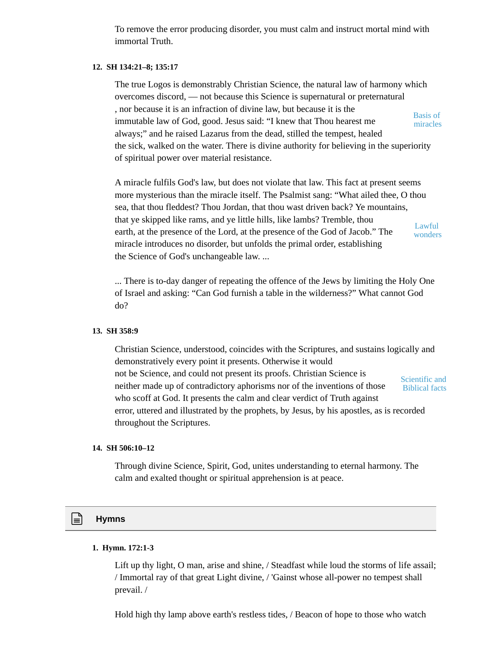To remove the error producing disorder, you must calm and instruct mortal mind with immortal Truth.

#### **12. SH 134:21–8; 135:17**

The true Logos is demonstrably Christian Science, the natural law of harmony which overcomes discord, — not because this Science is supernatural or preternatural , nor because it is an infraction of divine law, but because it is the immutable law of God, good. Jesus said: "I knew that Thou hearest me always;" and he raised Lazarus from the dead, stilled the tempest, healed the sick, walked on the water. There is divine authority for believing in the superiority of spiritual power over material resistance. Basis of miracles

A miracle fulfils God's law, but does not violate that law. This fact at present seems more mysterious than the miracle itself. The Psalmist sang: "What ailed thee, O thou sea, that thou fleddest? Thou Jordan, that thou wast driven back? Ye mountains, that ye skipped like rams, and ye little hills, like lambs? Tremble, thou earth, at the presence of the Lord, at the presence of the God of Jacob." The miracle introduces no disorder, but unfolds the primal order, establishing the Science of God's unchangeable law. ... Lawful wonders

... There is to-day danger of repeating the offence of the Jews by limiting the Holy One of Israel and asking: "Can God furnish a table in the wilderness?" What cannot God do?

#### **13. SH 358:9**

Christian Science, understood, coincides with the Scriptures, and sustains logically and demonstratively every point it presents. Otherwise it would not be Science, and could not present its proofs. Christian Science is neither made up of contradictory aphorisms nor of the inventions of those who scoff at God. It presents the calm and clear verdict of Truth against error, uttered and illustrated by the prophets, by Jesus, by his apostles, as is recorded throughout the Scriptures. Scientific and Biblical facts

#### **14. SH 506:10–12**

Through divine Science, Spirit, God, unites understanding to eternal harmony. The calm and exalted thought or spiritual apprehension is at peace.

# **Hymns**

#### **1. Hymn. 172:1-3**

Lift up thy light, O man, arise and shine, / Steadfast while loud the storms of life assail; / Immortal ray of that great Light divine, / 'Gainst whose all-power no tempest shall prevail. /

Hold high thy lamp above earth's restless tides, / Beacon of hope to those who watch